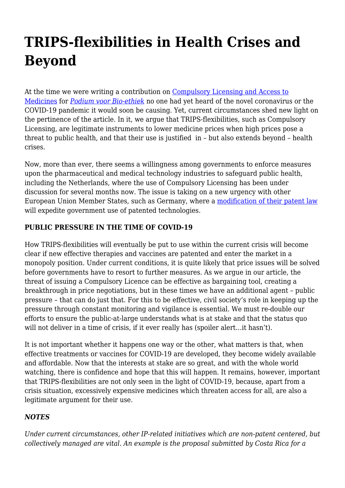## **TRIPS-flexibilities in Health Crises and Beyond**

At the time we were writing a contribution on [Compulsory Licensing and Access to](https://haiweb.org/wp-content/uploads/2020/04/Dwanglicenties_Podium.pdf) [Medicines](https://haiweb.org/wp-content/uploads/2020/04/Dwanglicenties_Podium.pdf) for *[Podium voor Bio-ethiek](https://nvbioethiek.wordpress.com/podium-voor-bioethiek/archief-podium/)* no one had yet heard of the novel coronavirus or the COVID-19 pandemic it would soon be causing. Yet, current circumstances shed new light on the pertinence of the article. In it, we argue that TRIPS-flexibilities, such as Compulsory Licensing, are legitimate instruments to lower medicine prices when high prices pose a threat to public health, and that their use is justified in – but also extends beyond – health crises.

Now, more than ever, there seems a willingness among governments to enforce measures upon the pharmaceutical and medical technology industries to safeguard public health, including the Netherlands, where the use of Compulsory Licensing has been under discussion for several months now. The issue is taking on a new urgency with other European Union Member States, such as Germany, where a [modification of their patent law](http://patentblog.kluweriplaw.com/2020/03/24/german-government-plans-possibilities-to-limit-patents-in-view-of-corona-pandemic/) will expedite government use of patented technologies.

## **PUBLIC PRESSURE IN THE TIME OF COVID-19**

How TRIPS-flexibilities will eventually be put to use within the current crisis will become clear if new effective therapies and vaccines are patented and enter the market in a monopoly position. Under current conditions, it is quite likely that price issues will be solved before governments have to resort to further measures. As we argue in our article, the threat of issuing a Compulsory Licence can be effective as bargaining tool, creating a breakthrough in price negotiations, but in these times we have an additional agent – public pressure – that can do just that. For this to be effective, civil society's role in keeping up the pressure through constant monitoring and vigilance is essential. We must re-double our efforts to ensure the public-at-large understands what is at stake and that the status quo will not deliver in a time of crisis, if it ever really has (spoiler alert…it hasn't).

It is not important whether it happens one way or the other, what matters is that, when effective treatments or vaccines for COVID-19 are developed, they become widely available and affordable. Now that the interests at stake are so great, and with the whole world watching, there is confidence and hope that this will happen. It remains, however, important that TRIPS-flexibilities are not only seen in the light of COVID-19, because, apart from a crisis situation, excessively expensive medicines which threaten access for all, are also a legitimate argument for their use.

## *NOTES*

*Under current circumstances, other IP-related initiatives which are non-patent centered, but collectively managed are vital. An example is the proposal submitted by Costa Rica for a*